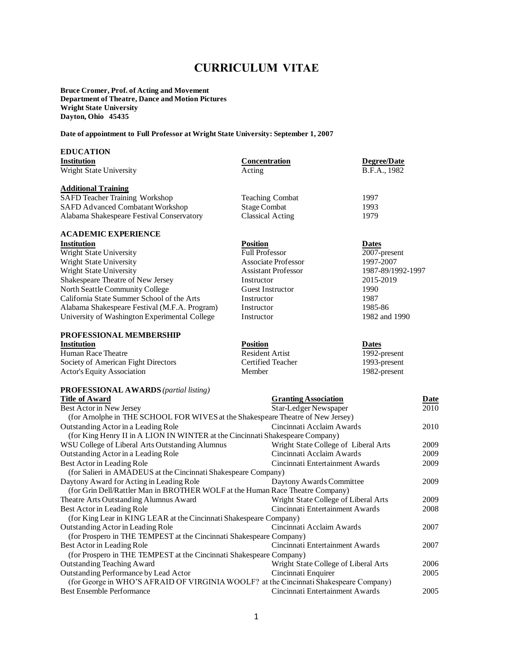# **CURRICULUM VITAE**

**Bruce Cromer, Prof. of Acting and Movement Department of Theatre, Dance and Motion Pictures Wright State University Dayton, Ohio 45435**

**Date of appointment to Full Professor at Wright State University: September 1, 2007**

## **EDUCATION**

| еросатіон                                     |                             |                    |
|-----------------------------------------------|-----------------------------|--------------------|
| <b>Institution</b>                            | <b>Concentration</b>        | <b>Degree/Date</b> |
| Wright State University                       | Acting                      | B.F.A., 1982       |
| <b>Additional Training</b>                    |                             |                    |
| <b>SAFD Teacher Training Workshop</b>         | <b>Teaching Combat</b>      | 1997               |
| <b>SAFD Advanced Combatant Workshop</b>       | <b>Stage Combat</b>         | 1993               |
| Alabama Shakespeare Festival Conservatory     | <b>Classical Acting</b>     | 1979               |
| <b>ACADEMIC EXPERIENCE</b>                    |                             |                    |
| <b>Institution</b>                            | <b>Position</b>             | <b>Dates</b>       |
| Wright State University                       | <b>Full Professor</b>       | 2007-present       |
| Wright State University                       | <b>Associate Professor</b>  | 1997-2007          |
| Wright State University                       | <b>Assistant Professor</b>  | 1987-89/1992-1997  |
| Shakespeare Theatre of New Jersey             | Instructor                  | 2015-2019          |
| North Seattle Community College               | <b>Guest Instructor</b>     | 1990               |
| California State Summer School of the Arts    | Instructor                  | 1987               |
| Alabama Shakespeare Festival (M.F.A. Program) | Instructor                  | 1985-86            |
| University of Washington Experimental College | Instructor                  | 1982 and 1990      |
| <b>PROFESSIONAL MEMBERSHIP</b>                |                             |                    |
| <b>Institution</b>                            | <b>Position</b>             | <b>Dates</b>       |
| Human Race Theatre                            | <b>Resident Artist</b>      | 1992-present       |
| Society of American Fight Directors           | Certified Teacher           | 1993-present       |
| <b>Actor's Equity Association</b>             | Member                      | 1982-present       |
| <b>PROFESSIONAL AWARDS</b> (partial listing)  |                             |                    |
| <b>Title of Award</b>                         | <b>Granting Association</b> | Date               |
| Rest Actor in New Jersey                      | Star-Ledger Newspaper       | 2010               |

| Best Actor in New Jersey                                                              | Star-Ledger Newspaper                | 2010 |
|---------------------------------------------------------------------------------------|--------------------------------------|------|
| (for Arnolphe in THE SCHOOL FOR WIVES at the Shakespeare Theatre of New Jersey)       |                                      |      |
| Outstanding Actor in a Leading Role                                                   | Cincinnati Acclaim Awards            | 2010 |
| (for King Henry II in A LION IN WINTER at the Cincinnati Shakespeare Company)         |                                      |      |
| WSU College of Liberal Arts Outstanding Alumnus                                       | Wright State College of Liberal Arts | 2009 |
| Outstanding Actor in a Leading Role                                                   | Cincinnati Acclaim Awards            | 2009 |
| Best Actor in Leading Role                                                            | Cincinnati Entertainment Awards      | 2009 |
| (for Salieri in AMADEUS at the Cincinnati Shakespeare Company)                        |                                      |      |
| Daytony Award for Acting in Leading Role                                              | Daytony Awards Committee             | 2009 |
| (for Grin Dell/Rattler Man in BROTHER WOLF at the Human Race Theatre Company)         |                                      |      |
| Theatre Arts Outstanding Alumnus Award                                                | Wright State College of Liberal Arts | 2009 |
| Best Actor in Leading Role                                                            | Cincinnati Entertainment Awards      | 2008 |
| (for King Lear in KING LEAR at the Cincinnati Shakespeare Company)                    |                                      |      |
| Outstanding Actor in Leading Role                                                     | Cincinnati Acclaim Awards            | 2007 |
| (for Prospero in THE TEMPEST at the Cincinnati Shakespeare Company)                   |                                      |      |
| Best Actor in Leading Role                                                            | Cincinnati Entertainment Awards      | 2007 |
| (for Prospero in THE TEMPEST at the Cincinnati Shakespeare Company)                   |                                      |      |
| <b>Outstanding Teaching Award</b>                                                     | Wright State College of Liberal Arts | 2006 |
| Outstanding Performance by Lead Actor                                                 | Cincinnati Enquirer                  | 2005 |
| (for George in WHO'S AFRAID OF VIRGINIA WOOLF? at the Cincinnati Shakespeare Company) |                                      |      |
| <b>Best Ensemble Performance</b>                                                      | Cincinnati Entertainment Awards      | 2005 |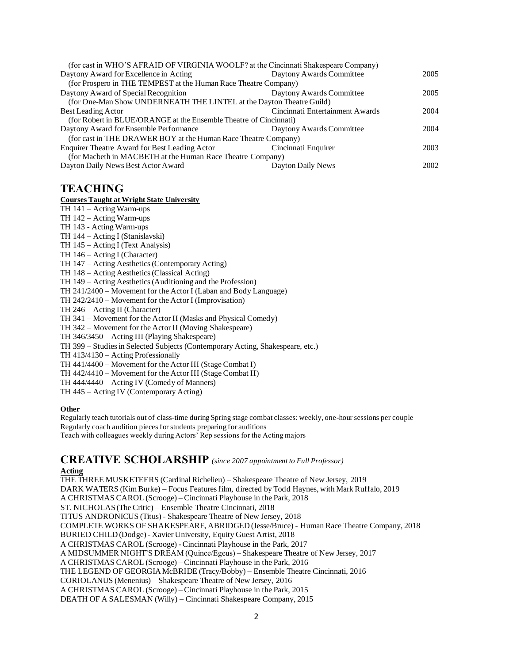| (for cast in WHO'S AFRAID OF VIRGINIA WOOLF? at the Cincinnati Shakespeare Company) |                                 |      |
|-------------------------------------------------------------------------------------|---------------------------------|------|
| Daytony Award for Excellence in Acting                                              | Daytony Awards Committee        | 2005 |
| (for Prospero in THE TEMPEST at the Human Race Theatre Company)                     |                                 |      |
| Daytony Award of Special Recognition                                                | Daytony Awards Committee        | 2005 |
| (for One-Man Show UNDERNEATH THE LINTEL at the Dayton Theatre Guild)                |                                 |      |
| Best Leading Actor                                                                  | Cincinnati Entertainment Awards | 2004 |
| (for Robert in BLUE/ORANGE at the Ensemble Theatre of Cincinnati)                   |                                 |      |
| Daytony Award for Ensemble Performance                                              | Daytony Awards Committee        | 2004 |
| (for cast in THE DRAWER BOY at the Human Race Theatre Company)                      |                                 |      |
| Enquirer Theatre Award for Best Leading Actor                                       | Cincinnati Enquirer             | 2003 |
| (for Macbeth in MACBETH at the Human Race Theatre Company)                          |                                 |      |
| Dayton Daily News Best Actor Award                                                  | Dayton Daily News               | 2002 |

## **TEACHING**

#### **Courses Taught at Wright State University**

TH 141 – Acting Warm-ups

TH 142 – Acting Warm-ups

TH 143 - Acting Warm-ups

TH 144 – Acting I (Stanislavski)

TH 145 – Acting I (Text Analysis)

TH 146 – Acting I (Character)

TH 147 – Acting Aesthetics (Contemporary Acting)

TH 148 – Acting Aesthetics (Classical Acting)

TH 149 – Acting Aesthetics (Auditioning and the Profession)

TH 241/2400 – Movement for the Actor I (Laban and Body Language)

TH 242/2410 – Movement for the Actor I (Improvisation)

TH 246 – Acting II (Character)

TH 341 – Movement for the Actor II (Masks and Physical Comedy)

TH 342 – Movement for the Actor II (Moving Shakespeare)

TH 346/3450 – Acting III (Playing Shakespeare)

TH 399 – Studies in Selected Subjects (Contemporary Acting, Shakespeare, etc.)

TH 413/4130 – Acting Professionally

TH 441/4400 – Movement for the Actor III (Stage Combat I)

TH 442/4410 – Movement for the Actor III (Stage Combat II)

TH 444/4440 – Acting IV (Comedy of Manners)

TH 445 – Acting IV (Contemporary Acting)

### **Other**

Regularly teach tutorials out of class-time during Spring stage combat classes: weekly, one-hour sessions per couple Regularly coach audition pieces for students preparing for auditions Teach with colleagues weekly during Actors' Rep sessions for the Acting majors

# **CREATIVE SCHOLARSHIP** *(since 2007 appointment to Full Professor)*

#### **Acting**

THE THREE MUSKETEERS (Cardinal Richelieu) – Shakespeare Theatre of New Jersey, 2019 DARK WATERS (Kim Burke) – Focus Features film, directed by Todd Haynes, with Mark Ruffalo, 2019 A CHRISTMAS CAROL (Scrooge) – Cincinnati Playhouse in the Park, 2018 ST. NICHOLAS (The Critic) – Ensemble Theatre Cincinnati, 2018 TITUS ANDRONICUS (Titus) - Shakespeare Theatre of New Jersey, 2018 COMPLETE WORKS OF SHAKESPEARE, ABRIDGED (Jesse/Bruce) - Human Race Theatre Company, 2018 BURIED CHILD (Dodge) - Xavier University, Equity Guest Artist, 2018 A CHRISTMAS CAROL (Scrooge) - Cincinnati Playhouse in the Park, 2017 A MIDSUMMER NIGHT'S DREAM (Quince/Egeus) – Shakespeare Theatre of New Jersey, 2017 A CHRISTMAS CAROL (Scrooge) – Cincinnati Playhouse in the Park, 2016 THE LEGEND OF GEORGIA McBRIDE (Tracy/Bobby) – Ensemble Theatre Cincinnati, 2016 CORIOLANUS (Menenius) – Shakespeare Theatre of New Jersey, 2016 A CHRISTMAS CAROL (Scrooge) – Cincinnati Playhouse in the Park, 2015 DEATH OF A SALESMAN (Willy) – Cincinnati Shakespeare Company, 2015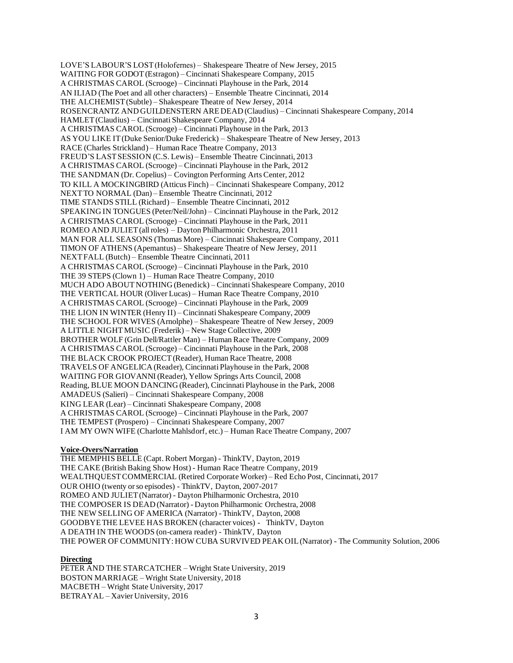LOVE'S LABOUR'S LOST (Holofernes) – Shakespeare Theatre of New Jersey, 2015 WAITING FOR GODOT (Estragon) – Cincinnati Shakespeare Company, 2015 A CHRISTMAS CAROL (Scrooge) – Cincinnati Playhouse in the Park, 2014 AN ILIAD (The Poet and all other characters) – Ensemble Theatre Cincinnati, 2014 THE ALCHEMIST (Subtle) – Shakespeare Theatre of New Jersey, 2014 ROSENCRANTZ AND GUILDENSTERN ARE DEAD (Claudius) – Cincinnati Shakespeare Company, 2014 HAMLET (Claudius) – Cincinnati Shakespeare Company, 2014 A CHRISTMAS CAROL (Scrooge) – Cincinnati Playhouse in the Park, 2013 AS YOU LIKE IT (Duke Senior/Duke Frederick) – Shakespeare Theatre of New Jersey, 2013 RACE (Charles Strickland) – Human Race Theatre Company, 2013 FREUD'S LAST SESSION (C.S. Lewis) – Ensemble Theatre Cincinnati, 2013 A CHRISTMAS CAROL (Scrooge) – Cincinnati Playhouse in the Park, 2012 THE SANDMAN (Dr. Copelius) – Covington Performing Arts Center, 2012 TO KILL A MOCKINGBIRD (Atticus Finch) – Cincinnati Shakespeare Company, 2012 NEXT TO NORMAL (Dan) – Ensemble Theatre Cincinnati, 2012 TIME STANDS STILL (Richard) – Ensemble Theatre Cincinnati, 2012 SPEAKING IN TONGUES (Peter/Neil/John) – Cincinnati Playhouse in the Park, 2012 A CHRISTMAS CAROL (Scrooge) – Cincinnati Playhouse in the Park, 2011 ROMEO AND JULIET (all roles) – Dayton Philharmonic Orchestra, 2011 MAN FOR ALL SEASONS (Thomas More) – Cincinnati Shakespeare Company, 2011 TIMON OF ATHENS (Apemantus) – Shakespeare Theatre of New Jersey, 2011 NEXT FALL (Butch) – Ensemble Theatre Cincinnati, 2011 A CHRISTMAS CAROL (Scrooge) – Cincinnati Playhouse in the Park, 2010 THE 39 STEPS (Clown 1) – Human Race Theatre Company, 2010 MUCH ADO ABOUT NOTHING (Benedick) – Cincinnati Shakespeare Company, 2010 THE VERTICAL HOUR (Oliver Lucas) – Human Race Theatre Company, 2010 A CHRISTMAS CAROL (Scrooge) – Cincinnati Playhouse in the Park, 2009 THE LION IN WINTER (Henry II) – Cincinnati Shakespeare Company, 2009 THE SCHOOL FOR WIVES (Arnolphe) – Shakespeare Theatre of New Jersey, 2009 A LITTLE NIGHT MUSIC (Frederik) – New Stage Collective, 2009 BROTHER WOLF (Grin Dell/Rattler Man) – Human Race Theatre Company, 2009 A CHRISTMAS CAROL (Scrooge) – Cincinnati Playhouse in the Park, 2008 THE BLACK CROOK PROJECT (Reader), Human Race Theatre, 2008 TRAVELS OF ANGELICA (Reader), Cincinnati Playhouse in the Park, 2008 WAITING FOR GIOVANNI (Reader), Yellow Springs Arts Council, 2008 Reading, BLUE MOON DANCING (Reader), Cincinnati Playhouse in the Park, 2008 AMADEUS (Salieri) – Cincinnati Shakespeare Company, 2008 KING LEAR (Lear) – Cincinnati Shakespeare Company, 2008 A CHRISTMAS CAROL (Scrooge) – Cincinnati Playhouse in the Park, 2007 THE TEMPEST (Prospero) – Cincinnati Shakespeare Company, 2007 I AM MY OWN WIFE (Charlotte Mahlsdorf, etc.) – Human Race Theatre Company, 2007

### **Voice-Overs/Narration**

THE MEMPHIS BELLE (Capt. Robert Morgan) - ThinkTV, Dayton, 2019 THE CAKE (British Baking Show Host) - Human Race Theatre Company, 2019 WEALTHQUEST COMMERCIAL (Retired Corporate Worker) – Red Echo Post, Cincinnati, 2017 OUR OHIO (twenty or so episodes) - ThinkTV, Dayton, 2007-2017 ROMEO AND JULIET (Narrator) - Dayton Philharmonic Orchestra, 2010 THE COMPOSER IS DEAD (Narrator) - Dayton Philharmonic Orchestra, 2008 THE NEW SELLING OF AMERICA (Narrator) - ThinkTV, Dayton, 2008 GOODBYE THE LEVEE HAS BROKEN (character voices) - ThinkTV, Dayton A DEATH IN THE WOODS (on-camera reader) - ThinkTV, Dayton THE POWER OF COMMUNITY: HOW CUBA SURVIVED PEAK OIL (Narrator) - The Community Solution, 2006

#### **Directing**

PETER AND THE STARCATCHER – Wright State University, 2019 BOSTON MARRIAGE – Wright State University, 2018 MACBETH – Wright State University, 2017 BETRAYAL – Xavier University, 2016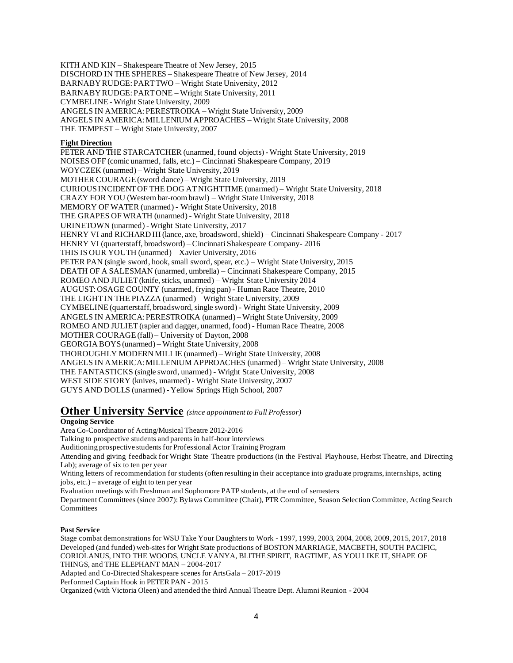KITH AND KIN – Shakespeare Theatre of New Jersey, 2015 DISCHORD IN THE SPHERES – Shakespeare Theatre of New Jersey, 2014 BARNABY RUDGE: PART TWO – Wright State University, 2012 BARNABY RUDGE: PART ONE – Wright State University, 2011 CYMBELINE- Wright State University, 2009 ANGELS IN AMERICA: PERESTROIKA – Wright State University, 2009 ANGELS IN AMERICA: MILLENIUM APPROACHES – Wright State University, 2008 THE TEMPEST – Wright State University, 2007

### **Fight Direction**

PETER AND THE STARCATCHER (unarmed, found objects) - Wright State University, 2019 NOISES OFF (comic unarmed, falls, etc.) – Cincinnati Shakespeare Company, 2019 WOYCZEK (unarmed) – Wright State University, 2019 MOTHER COURAGE (sword dance) – Wright State University, 2019 CURIOUS INCIDENT OF THE DOG AT NIGHTTIME (unarmed) – Wright State University, 2018 CRAZY FOR YOU (Western bar-room brawl) – Wright State University, 2018 MEMORY OF WATER (unarmed) - Wright State University, 2018 THE GRAPES OF WRATH (unarmed) - Wright State University, 2018 URINETOWN (unarmed) - Wright State University, 2017 HENRY VI and RICHARD III (lance, axe, broadsword, shield) – Cincinnati Shakespeare Company - 2017 HENRY VI (quarterstaff, broadsword) – Cincinnati Shakespeare Company- 2016 THIS IS OUR YOUTH (unarmed) – Xavier University, 2016 PETER PAN (single sword, hook, small sword, spear, etc.) – Wright State University, 2015 DEATH OF A SALESMAN (unarmed, umbrella) – Cincinnati Shakespeare Company, 2015 ROMEO AND JULIET (knife, sticks, unarmed) – Wright State University 2014 AUGUST: OSAGE COUNTY (unarmed, frying pan) - Human Race Theatre, 2010 THE LIGHT IN THE PIAZZA (unarmed) – Wright State University, 2009 CYMBELINE(quarterstaff, broadsword, single sword) - Wright State University, 2009 ANGELS IN AMERICA: PERESTROIKA (unarmed) – Wright State University, 2009 ROMEO AND JULIET (rapier and dagger, unarmed, food) - Human Race Theatre, 2008 MOTHER COURAGE (fall) – University of Dayton, 2008 GEORGIA BOYS (unarmed) – Wright State University, 2008 THOROUGHLY MODERN MILLIE (unarmed) – Wright State University, 2008 ANGELS IN AMERICA: MILLENIUM APPROACHES (unarmed) – Wright State University, 2008 THE FANTASTICKS (single sword, unarmed) - Wright State University, 2008 WEST SIDE STORY (knives, unarmed) - Wright State University, 2007 GUYS AND DOLLS (unarmed) - Yellow Springs High School, 2007

## **Other University Service** *(since appointment to Full Professor)*

#### **Ongoing Service**

Area Co-Coordinator of Acting/Musical Theatre 2012-2016

Talking to prospective students and parents in half-hour interviews

Auditioning prospective students for Professional Actor Training Program

Attending and giving feedback for Wright State Theatre productions (in the Festival Playhouse, Herbst Theatre, and Directing Lab); average of six to ten per year

Writing letters of recommendation for students (often resulting in their acceptance into graduate programs, internships, acting jobs, etc.) – average of eight to ten per year

Evaluation meetings with Freshman and Sophomore PATP students, at the end of semesters

Department Committees (since 2007): Bylaws Committee (Chair), PTR Committee, Season Selection Committee, Acting Search **Committees** 

#### **Past Service**

Stage combat demonstrations for WSU Take Your Daughters to Work - 1997, 1999, 2003, 2004, 2008, 2009, 2015, 2017, 2018 Developed (and funded) web-sites for Wright State productions of BOSTON MARRIAGE, MACBETH, SOUTH PACIFIC, CORIOLANUS, INTO THE WOODS, UNCLE VANYA, BLITHE SPIRIT, RAGTIME, AS YOU LIKE IT, SHAPE OF THINGS, and THE ELEPHANT MAN – 2004-2017

Adapted and Co-Directed Shakespeare scenes for ArtsGala – 2017-2019

Performed Captain Hook in PETER PAN - 2015

Organized (with Victoria Oleen) and attended the third Annual Theatre Dept. Alumni Reunion - 2004